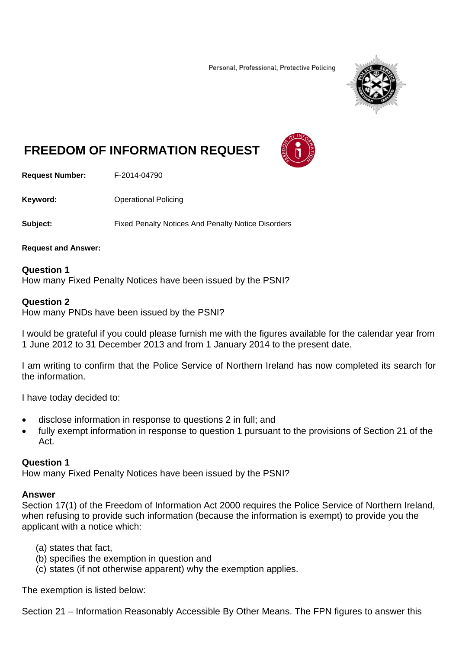Personal, Professional, Protective Policing



# **FREEDOM OF INFORMATION REQUEST**

**Request Number:** F-2014-04790

**Keyword: C**Derational Policing

**Subject:** Fixed Penalty Notices And Penalty Notice Disorders

**Request and Answer:** 

**Question 1**  How many Fixed Penalty Notices have been issued by the PSNI?

#### **Question 2**

How many PNDs have been issued by the PSNI?

I would be grateful if you could please furnish me with the figures available for the calendar year from 1 June 2012 to 31 December 2013 and from 1 January 2014 to the present date.

I am writing to confirm that the Police Service of Northern Ireland has now completed its search for the information.

I have today decided to:

- disclose information in response to questions 2 in full; and
- fully exempt information in response to question 1 pursuant to the provisions of Section 21 of the Act.

## **Question 1**

How many Fixed Penalty Notices have been issued by the PSNI?

## **Answer**

Section 17(1) of the Freedom of Information Act 2000 requires the Police Service of Northern Ireland, when refusing to provide such information (because the information is exempt) to provide you the applicant with a notice which:

- (a) states that fact,
- (b) specifies the exemption in question and
- (c) states (if not otherwise apparent) why the exemption applies.

The exemption is listed below:

Section 21 – Information Reasonably Accessible By Other Means. The FPN figures to answer this